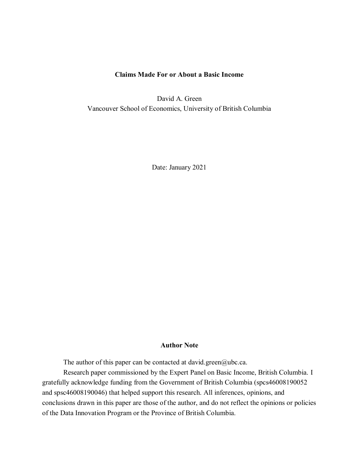# **Claims Made For or About a Basic Income**

David A. Green Vancouver School of Economics, University of British Columbia

Date: January 2021

# **Author Note**

The author of this paper can be contacted at [david.green@ubc.ca.](mailto:david.green@ubc.ca)

Research paper commissioned by the Expert Panel on Basic Income, British Columbia. I gratefully acknowledge funding from the Government of British Columbia (spcs46008190052 and spsc46008190046) that helped support this research. All inferences, opinions, and conclusions drawn in this paper are those of the author, and do not reflect the opinions or policies of the Data Innovation Program or the Province of British Columbia.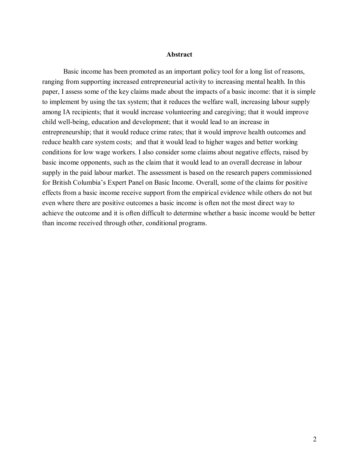### **Abstract**

Basic income has been promoted as an important policy tool for a long list of reasons, ranging from supporting increased entrepreneurial activity to increasing mental health. In this paper, I assess some of the key claims made about the impacts of a basic income: that it is simple to implement by using the tax system; that it reduces the welfare wall, increasing labour supply among IA recipients; that it would increase volunteering and caregiving; that it would improve child well-being, education and development; that it would lead to an increase in entrepreneurship; that it would reduce crime rates; that it would improve health outcomes and reduce health care system costs; and that it would lead to higher wages and better working conditions for low wage workers. I also consider some claims about negative effects, raised by basic income opponents, such as the claim that it would lead to an overall decrease in labour supply in the paid labour market. The assessment is based on the research papers commissioned for British Columbia's Expert Panel on Basic Income. Overall, some of the claims for positive effects from a basic income receive support from the empirical evidence while others do not but even where there are positive outcomes a basic income is often not the most direct way to achieve the outcome and it is often difficult to determine whether a basic income would be better than income received through other, conditional programs.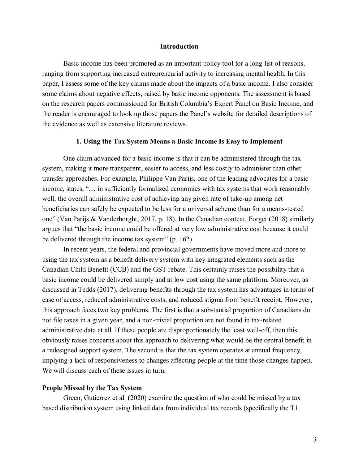### **Introduction**

Basic income has been promoted as an important policy tool for a long list of reasons, ranging from supporting increased entrepreneurial activity to increasing mental health. In this paper, I assess some of the key claims made about the impacts of a basic income. I also consider some claims about negative effects, raised by basic income opponents. The assessment is based on the research papers commissioned for British Columbia's Expert Panel on Basic Income, and the reader is encouraged to look up those papers the Panel's website for detailed descriptions of the evidence as well as extensive literature reviews.

## **1. Using the Tax System Means a Basic Income Is Easy to Implement**

One claim advanced for a basic income is that it can be administered through the tax system, making it more transparent, easier to access, and less costly to administer than other transfer approaches. For example, Philippe Van Parijs, one of the leading advocates for a basic income, states, "… in sufficiently formalized economies with tax systems that work reasonably well, the overall administrative cost of achieving any given rate of take-up among net beneficiaries can safely be expected to be less for a universal scheme than for a means-tested one" (Van Parijs & Vanderborght, 2017, p. 18). In the Canadian context, Forget (2018) similarly argues that "the basic income could be offered at very low administrative cost because it could be delivered through the income tax system" (p. 162)

In recent years, the federal and provincial governments have moved more and more to using the tax system as a benefit delivery system with key integrated elements such as the Canadian Child Benefit (CCB) and the GST rebate. This certainly raises the possibility that a basic income could be delivered simply and at low cost using the same platform. Moreover, as discussed in Tedds (2017), delivering benefits through the tax system has advantages in terms of ease of access, reduced administrative costs, and reduced stigma from benefit receipt. However, this approach faces two key problems. The first is that a substantial proportion of Canadians do not file taxes in a given year, and a non-trivial proportion are not found in tax-related administrative data at all. If these people are disproportionately the least well-off, then this obviously raises concerns about this approach to delivering what would be the central benefit in a redesigned support system. The second is that the tax system operates at annual frequency, implying a lack of responsiveness to changes affecting people at the time those changes happen. We will discuss each of these issues in turn.

### **People Missed by the Tax System**

Green, Gutierrez et al. (2020) examine the question of who could be missed by a tax based distribution system using linked data from individual tax records (specifically the T1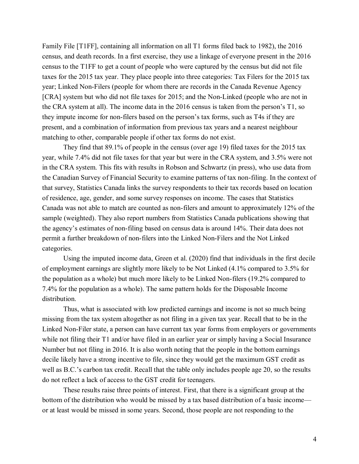Family File [T1FF], containing all information on all T1 forms filed back to 1982), the 2016 census, and death records. In a first exercise, they use a linkage of everyone present in the 2016 census to the T1FF to get a count of people who were captured by the census but did not file taxes for the 2015 tax year. They place people into three categories: Tax Filers for the 2015 tax year; Linked Non-Filers (people for whom there are records in the Canada Revenue Agency [CRA] system but who did not file taxes for 2015; and the Non-Linked (people who are not in the CRA system at all). The income data in the 2016 census is taken from the person's T1, so they impute income for non-filers based on the person's tax forms, such as T4s if they are present, and a combination of information from previous tax years and a nearest neighbour matching to other, comparable people if other tax forms do not exist.

They find that 89.1% of people in the census (over age 19) filed taxes for the 2015 tax year, while 7.4% did not file taxes for that year but were in the CRA system, and 3.5% were not in the CRA system. This fits with results in Robson and Schwartz (in press), who use data from the Canadian Survey of Financial Security to examine patterns of tax non-filing. In the context of that survey, Statistics Canada links the survey respondents to their tax records based on location of residence, age, gender, and some survey responses on income. The cases that Statistics Canada was not able to match are counted as non-filers and amount to approximately 12% of the sample (weighted). They also report numbers from Statistics Canada publications showing that the agency's estimates of non-filing based on census data is around 14%. Their data does not permit a further breakdown of non-filers into the Linked Non-Filers and the Not Linked categories.

Using the imputed income data, Green et al. (2020) find that individuals in the first decile of employment earnings are slightly more likely to be Not Linked (4.1% compared to 3.5% for the population as a whole) but much more likely to be Linked Non-filers (19.2% compared to 7.4% for the population as a whole). The same pattern holds for the Disposable Income distribution.

Thus, what is associated with low predicted earnings and income is not so much being missing from the tax system altogether as not filing in a given tax year. Recall that to be in the Linked Non-Filer state, a person can have current tax year forms from employers or governments while not filing their T1 and/or have filed in an earlier year or simply having a Social Insurance Number but not filing in 2016. It is also worth noting that the people in the bottom earnings decile likely have a strong incentive to file, since they would get the maximum GST credit as well as B.C.'s carbon tax credit. Recall that the table only includes people age 20, so the results do not reflect a lack of access to the GST credit for teenagers.

These results raise three points of interest. First, that there is a significant group at the bottom of the distribution who would be missed by a tax based distribution of a basic income or at least would be missed in some years. Second, those people are not responding to the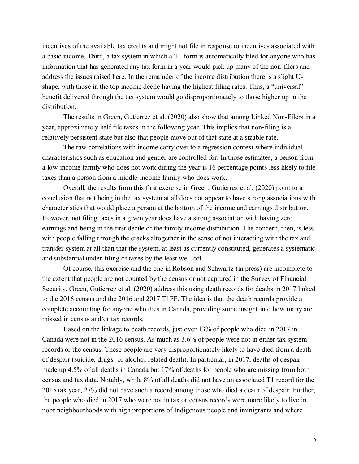incentives of the available tax credits and might not file in response to incentives associated with a basic income. Third, a tax system in which a T1 form is automatically filed for anyone who has information that has generated any tax form in a year would pick up many of the non-filers and address the issues raised here. In the remainder of the income distribution there is a slight Ushape, with those in the top income decile having the highest filing rates. Thus, a "universal" benefit delivered through the tax system would go disproportionately to those higher up in the distribution.

The results in Green, Gutierrez et al. (2020) also show that among Linked Non-Filers in a year, approximately half file taxes in the following year. This implies that non-filing is a relatively persistent state but also that people move out of that state at a sizable rate.

The raw correlations with income carry over to a regression context where individual characteristics such as education and gender are controlled for. In those estimates, a person from a low-income family who does not work during the year is 16 percentage points less likely to file taxes than a person from a middle-income family who does work.

Overall, the results from this first exercise in Green, Gutierrez et al. (2020) point to a conclusion that not being in the tax system at all does not appear to have strong associations with characteristics that would place a person at the bottom of the income and earnings distribution. However, not filing taxes in a given year does have a strong association with having zero earnings and being in the first decile of the family income distribution. The concern, then, is less with people falling through the cracks altogether in the sense of not interacting with the tax and transfer system at all than that the system, at least as currently constituted, generates a systematic and substantial under-filing of taxes by the least well-off.

Of course, this exercise and the one in Robson and Schwartz (in press) are incomplete to the extent that people are not counted by the census or not captured in the Survey of Financial Security. Green, Gutierrez et al. (2020) address this using death records for deaths in 2017 linked to the 2016 census and the 2016 and 2017 T1FF. The idea is that the death records provide a complete accounting for anyone who dies in Canada, providing some insight into how many are missed in census and/or tax records.

Based on the linkage to death records, just over 13% of people who died in 2017 in Canada were not in the 2016 census. As much as 3.6% of people were not in either tax system records or the census. These people are very disproportionately likely to have died from a death of despair (suicide, drugs- or alcohol-related death). In particular, in 2017, deaths of despair made up 4.5% of all deaths in Canada but 17% of deaths for people who are missing from both census and tax data. Notably, while 8% of all deaths did not have an associated T1 record for the 2015 tax year, 27% did not have such a record among those who died a death of despair. Further, the people who died in 2017 who were not in tax or census records were more likely to live in poor neighbourhoods with high proportions of Indigenous people and immigrants and where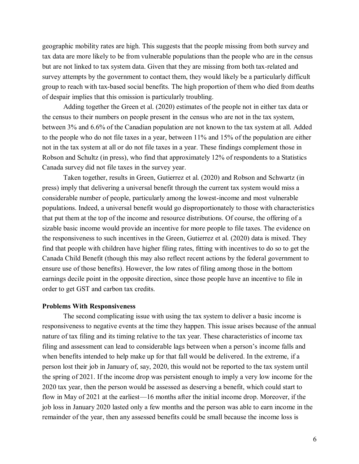geographic mobility rates are high. This suggests that the people missing from both survey and tax data are more likely to be from vulnerable populations than the people who are in the census but are not linked to tax system data. Given that they are missing from both tax-related and survey attempts by the government to contact them, they would likely be a particularly difficult group to reach with tax-based social benefits. The high proportion of them who died from deaths of despair implies that this omission is particularly troubling.

Adding together the Green et al. (2020) estimates of the people not in either tax data or the census to their numbers on people present in the census who are not in the tax system, between 3% and 6.6% of the Canadian population are not known to the tax system at all. Added to the people who do not file taxes in a year, between 11% and 15% of the population are either not in the tax system at all or do not file taxes in a year. These findings complement those in Robson and Schultz (in press), who find that approximately 12% of respondents to a Statistics Canada survey did not file taxes in the survey year.

Taken together, results in Green, Gutierrez et al. (2020) and Robson and Schwartz (in press) imply that delivering a universal benefit through the current tax system would miss a considerable number of people, particularly among the lowest-income and most vulnerable populations. Indeed, a universal benefit would go disproportionately to those with characteristics that put them at the top of the income and resource distributions. Of course, the offering of a sizable basic income would provide an incentive for more people to file taxes. The evidence on the responsiveness to such incentives in the Green, Gutierrez et al. (2020) data is mixed. They find that people with children have higher filing rates, fitting with incentives to do so to get the Canada Child Benefit (though this may also reflect recent actions by the federal government to ensure use of those benefits). However, the low rates of filing among those in the bottom earnings decile point in the opposite direction, since those people have an incentive to file in order to get GST and carbon tax credits.

#### **Problems With Responsiveness**

The second complicating issue with using the tax system to deliver a basic income is responsiveness to negative events at the time they happen. This issue arises because of the annual nature of tax filing and its timing relative to the tax year. These characteristics of income tax filing and assessment can lead to considerable lags between when a person's income falls and when benefits intended to help make up for that fall would be delivered. In the extreme, if a person lost their job in January of, say, 2020, this would not be reported to the tax system until the spring of 2021. If the income drop was persistent enough to imply a very low income for the 2020 tax year, then the person would be assessed as deserving a benefit, which could start to flow in May of 2021 at the earliest—16 months after the initial income drop. Moreover, if the job loss in January 2020 lasted only a few months and the person was able to earn income in the remainder of the year, then any assessed benefits could be small because the income loss is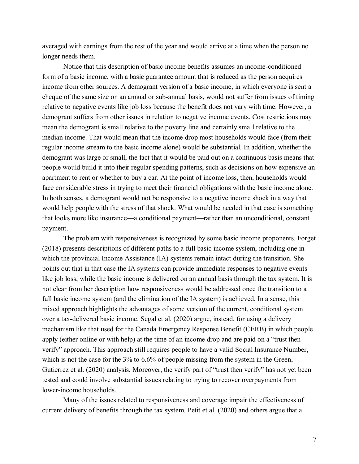averaged with earnings from the rest of the year and would arrive at a time when the person no longer needs them.

Notice that this description of basic income benefits assumes an income-conditioned form of a basic income, with a basic guarantee amount that is reduced as the person acquires income from other sources. A demogrant version of a basic income, in which everyone is sent a cheque of the same size on an annual or sub-annual basis, would not suffer from issues of timing relative to negative events like job loss because the benefit does not vary with time. However, a demogrant suffers from other issues in relation to negative income events. Cost restrictions may mean the demogrant is small relative to the poverty line and certainly small relative to the median income. That would mean that the income drop most households would face (from their regular income stream to the basic income alone) would be substantial. In addition, whether the demogrant was large or small, the fact that it would be paid out on a continuous basis means that people would build it into their regular spending patterns, such as decisions on how expensive an apartment to rent or whether to buy a car. At the point of income loss, then, households would face considerable stress in trying to meet their financial obligations with the basic income alone. In both senses, a demogrant would not be responsive to a negative income shock in a way that would help people with the stress of that shock. What would be needed in that case is something that looks more like insurance—a conditional payment—rather than an unconditional, constant payment.

The problem with responsiveness is recognized by some basic income proponents. Forget (2018) presents descriptions of different paths to a full basic income system, including one in which the provincial Income Assistance (IA) systems remain intact during the transition. She points out that in that case the IA systems can provide immediate responses to negative events like job loss, while the basic income is delivered on an annual basis through the tax system. It is not clear from her description how responsiveness would be addressed once the transition to a full basic income system (and the elimination of the IA system) is achieved. In a sense, this mixed approach highlights the advantages of some version of the current, conditional system over a tax-delivered basic income. Segal et al. (2020) argue, instead, for using a delivery mechanism like that used for the Canada Emergency Response Benefit (CERB) in which people apply (either online or with help) at the time of an income drop and are paid on a "trust then verify" approach. This approach still requires people to have a valid Social Insurance Number, which is not the case for the 3% to 6.6% of people missing from the system in the Green, Gutierrez et al. (2020) analysis. Moreover, the verify part of "trust then verify" has not yet been tested and could involve substantial issues relating to trying to recover overpayments from lower-income households.

Many of the issues related to responsiveness and coverage impair the effectiveness of current delivery of benefits through the tax system. Petit et al. (2020) and others argue that a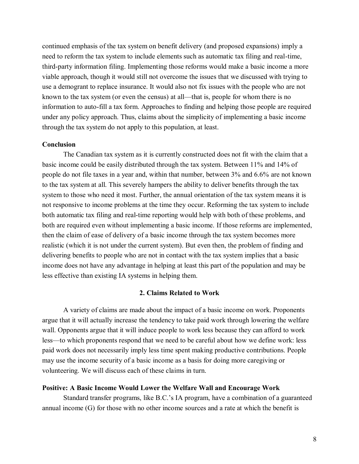continued emphasis of the tax system on benefit delivery (and proposed expansions) imply a need to reform the tax system to include elements such as automatic tax filing and real-time, third-party information filing. Implementing those reforms would make a basic income a more viable approach, though it would still not overcome the issues that we discussed with trying to use a demogrant to replace insurance. It would also not fix issues with the people who are not known to the tax system (or even the census) at all—that is, people for whom there is no information to auto-fill a tax form. Approaches to finding and helping those people are required under any policy approach. Thus, claims about the simplicity of implementing a basic income through the tax system do not apply to this population, at least.

# **Conclusion**

The Canadian tax system as it is currently constructed does not fit with the claim that a basic income could be easily distributed through the tax system. Between 11% and 14% of people do not file taxes in a year and, within that number, between 3% and 6.6% are not known to the tax system at all. This severely hampers the ability to deliver benefits through the tax system to those who need it most. Further, the annual orientation of the tax system means it is not responsive to income problems at the time they occur. Reforming the tax system to include both automatic tax filing and real-time reporting would help with both of these problems, and both are required even without implementing a basic income. If those reforms are implemented, then the claim of ease of delivery of a basic income through the tax system becomes more realistic (which it is not under the current system). But even then, the problem of finding and delivering benefits to people who are not in contact with the tax system implies that a basic income does not have any advantage in helping at least this part of the population and may be less effective than existing IA systems in helping them.

# **2. Claims Related to Work**

A variety of claims are made about the impact of a basic income on work. Proponents argue that it will actually increase the tendency to take paid work through lowering the welfare wall. Opponents argue that it will induce people to work less because they can afford to work less—to which proponents respond that we need to be careful about how we define work: less paid work does not necessarily imply less time spent making productive contributions. People may use the income security of a basic income as a basis for doing more caregiving or volunteering. We will discuss each of these claims in turn.

# **Positive: A Basic Income Would Lower the Welfare Wall and Encourage Work**

Standard transfer programs, like B.C.'s IA program, have a combination of a guaranteed annual income (G) for those with no other income sources and a rate at which the benefit is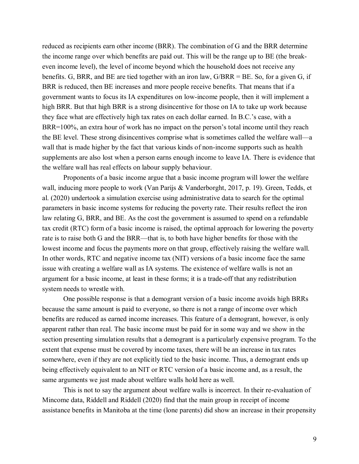reduced as recipients earn other income (BRR). The combination of G and the BRR determine the income range over which benefits are paid out. This will be the range up to BE (the breakeven income level), the level of income beyond which the household does not receive any benefits. G, BRR, and BE are tied together with an iron law, G/BRR = BE. So, for a given G, if BRR is reduced, then BE increases and more people receive benefits. That means that if a government wants to focus its IA expenditures on low-income people, then it will implement a high BRR. But that high BRR is a strong disincentive for those on IA to take up work because they face what are effectively high tax rates on each dollar earned. In B.C.'s case, with a BRR=100%, an extra hour of work has no impact on the person's total income until they reach the BE level. These strong disincentives comprise what is sometimes called the welfare wall—a wall that is made higher by the fact that various kinds of non-income supports such as health supplements are also lost when a person earns enough income to leave IA. There is evidence that the welfare wall has real effects on labour supply behaviour.

Proponents of a basic income argue that a basic income program will lower the welfare wall, inducing more people to work (Van Parijs & Vanderborght, 2017, p. 19). Green, Tedds, et al. (2020) undertook a simulation exercise using administrative data to search for the optimal parameters in basic income systems for reducing the poverty rate. Their results reflect the iron law relating G, BRR, and BE. As the cost the government is assumed to spend on a refundable tax credit (RTC) form of a basic income is raised, the optimal approach for lowering the poverty rate is to raise both G and the BRR—that is, to both have higher benefits for those with the lowest income and focus the payments more on that group, effectively raising the welfare wall. In other words, RTC and negative income tax (NIT) versions of a basic income face the same issue with creating a welfare wall as IA systems. The existence of welfare walls is not an argument for a basic income, at least in these forms; it is a trade-off that any redistribution system needs to wrestle with.

One possible response is that a demogrant version of a basic income avoids high BRRs because the same amount is paid to everyone, so there is not a range of income over which benefits are reduced as earned income increases. This feature of a demogrant, however, is only apparent rather than real. The basic income must be paid for in some way and we show in the section presenting simulation results that a demogrant is a particularly expensive program. To the extent that expense must be covered by income taxes, there will be an increase in tax rates somewhere, even if they are not explicitly tied to the basic income. Thus, a demogrant ends up being effectively equivalent to an NIT or RTC version of a basic income and, as a result, the same arguments we just made about welfare walls hold here as well.

This is not to say the argument about welfare walls is incorrect. In their re-evaluation of Mincome data, Riddell and Riddell (2020) find that the main group in receipt of income assistance benefits in Manitoba at the time (lone parents) did show an increase in their propensity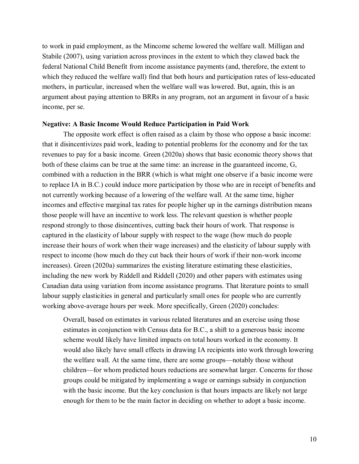to work in paid employment, as the Mincome scheme lowered the welfare wall. Milligan and Stabile (2007), using variation across provinces in the extent to which they clawed back the federal National Child Benefit from income assistance payments (and, therefore, the extent to which they reduced the welfare wall) find that both hours and participation rates of less-educated mothers, in particular, increased when the welfare wall was lowered. But, again, this is an argument about paying attention to BRRs in any program, not an argument in favour of a basic income, per se.

## **Negative: A Basic Income Would Reduce Participation in Paid Work**

The opposite work effect is often raised as a claim by those who oppose a basic income: that it disincentivizes paid work, leading to potential problems for the economy and for the tax revenues to pay for a basic income. Green (2020a) shows that basic economic theory shows that both of these claims can be true at the same time: an increase in the guaranteed income, G, combined with a reduction in the BRR (which is what might one observe if a basic income were to replace IA in B.C.) could induce more participation by those who are in receipt of benefits and not currently working because of a lowering of the welfare wall. At the same time, higher incomes and effective marginal tax rates for people higher up in the earnings distribution means those people will have an incentive to work less. The relevant question is whether people respond strongly to those disincentives, cutting back their hours of work. That response is captured in the elasticity of labour supply with respect to the wage (how much do people increase their hours of work when their wage increases) and the elasticity of labour supply with respect to income (how much do they cut back their hours of work if their non-work income increases). Green (2020a) summarizes the existing literature estimating these elasticities, including the new work by Riddell and Riddell (2020) and other papers with estimates using Canadian data using variation from income assistance programs. That literature points to small labour supply elasticities in general and particularly small ones for people who are currently working above-average hours per week. More specifically, Green (2020) concludes:

Overall, based on estimates in various related literatures and an exercise using those estimates in conjunction with Census data for B.C., a shift to a generous basic income scheme would likely have limited impacts on total hours worked in the economy. It would also likely have small effects in drawing IA recipients into work through lowering the welfare wall. At the same time, there are some groups—notably those without children—for whom predicted hours reductions are somewhat larger. Concerns for those groups could be mitigated by implementing a wage or earnings subsidy in conjunction with the basic income. But the key conclusion is that hours impacts are likely not large enough for them to be the main factor in deciding on whether to adopt a basic income.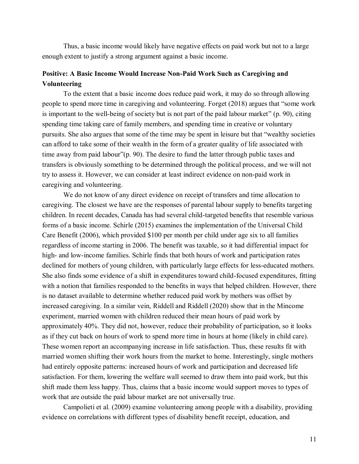Thus, a basic income would likely have negative effects on paid work but not to a large enough extent to justify a strong argument against a basic income.

# **Positive: A Basic Income Would Increase Non-Paid Work Such as Caregiving and Volunteering**

To the extent that a basic income does reduce paid work, it may do so through allowing people to spend more time in caregiving and volunteering. Forget (2018) argues that "some work is important to the well-being of society but is not part of the paid labour market" (p. 90), citing spending time taking care of family members, and spending time in creative or voluntary pursuits. She also argues that some of the time may be spent in leisure but that "wealthy societies can afford to take some of their wealth in the form of a greater quality of life associated with time away from paid labour"(p. 90). The desire to fund the latter through public taxes and transfers is obviously something to be determined through the political process, and we will not try to assess it. However, we can consider at least indirect evidence on non-paid work in caregiving and volunteering.

We do not know of any direct evidence on receipt of transfers and time allocation to caregiving. The closest we have are the responses of parental labour supply to benefits targeting children. In recent decades, Canada has had several child-targeted benefits that resemble various forms of a basic income. Schirle (2015) examines the implementation of the Universal Child Care Benefit (2006), which provided \$100 per month per child under age six to all families regardless of income starting in 2006. The benefit was taxable, so it had differential impact for high- and low-income families. Schirle finds that both hours of work and participation rates declined for mothers of young children, with particularly large effects for less-educated mothers. She also finds some evidence of a shift in expenditures toward child-focused expenditures, fitting with a notion that families responded to the benefits in ways that helped children. However, there is no dataset available to determine whether reduced paid work by mothers was offset by increased caregiving. In a similar vein, Riddell and Riddell (2020) show that in the Mincome experiment, married women with children reduced their mean hours of paid work by approximately 40%. They did not, however, reduce their probability of participation, so it looks as if they cut back on hours of work to spend more time in hours at home (likely in child care). These women report an accompanying increase in life satisfaction. Thus, these results fit with married women shifting their work hours from the market to home. Interestingly, single mothers had entirely opposite patterns: increased hours of work and participation and decreased life satisfaction. For them, lowering the welfare wall seemed to draw them into paid work, but this shift made them less happy. Thus, claims that a basic income would support moves to types of work that are outside the paid labour market are not universally true.

Campolieti et al. (2009) examine volunteering among people with a disability, providing evidence on correlations with different types of disability benefit receipt, education, and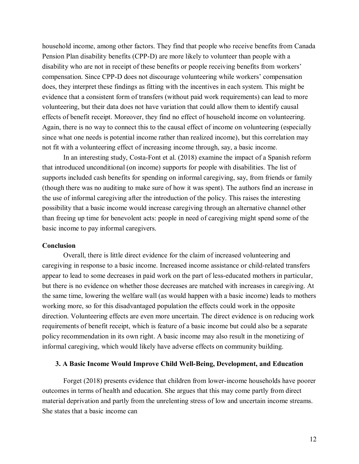household income, among other factors. They find that people who receive benefits from Canada Pension Plan disability benefits (CPP-D) are more likely to volunteer than people with a disability who are not in receipt of these benefits or people receiving benefits from workers' compensation. Since CPP-D does not discourage volunteering while workers' compensation does, they interpret these findings as fitting with the incentives in each system. This might be evidence that a consistent form of transfers (without paid work requirements) can lead to more volunteering, but their data does not have variation that could allow them to identify causal effects of benefit receipt. Moreover, they find no effect of household income on volunteering. Again, there is no way to connect this to the causal effect of income on volunteering (especially since what one needs is potential income rather than realized income), but this correlation may not fit with a volunteering effect of increasing income through, say, a basic income.

In an interesting study, Costa-Font et al. (2018) examine the impact of a Spanish reform that introduced unconditional (on income) supports for people with disabilities. The list of supports included cash benefits for spending on informal caregiving, say, from friends or family (though there was no auditing to make sure of how it was spent). The authors find an increase in the use of informal caregiving after the introduction of the policy. This raises the interesting possibility that a basic income would increase caregiving through an alternative channel other than freeing up time for benevolent acts: people in need of caregiving might spend some of the basic income to pay informal caregivers.

#### **Conclusion**

Overall, there is little direct evidence for the claim of increased volunteering and caregiving in response to a basic income. Increased income assistance or child-related transfers appear to lead to some decreases in paid work on the part of less-educated mothers in particular, but there is no evidence on whether those decreases are matched with increases in caregiving. At the same time, lowering the welfare wall (as would happen with a basic income) leads to mothers working more, so for this disadvantaged population the effects could work in the opposite direction. Volunteering effects are even more uncertain. The direct evidence is on reducing work requirements of benefit receipt, which is feature of a basic income but could also be a separate policy recommendation in its own right. A basic income may also result in the monetizing of informal caregiving, which would likely have adverse effects on community building.

# **3. A Basic Income Would Improve Child Well-Being, Development, and Education**

Forget (2018) presents evidence that children from lower-income households have poorer outcomes in terms of health and education. She argues that this may come partly from direct material deprivation and partly from the unrelenting stress of low and uncertain income streams. She states that a basic income can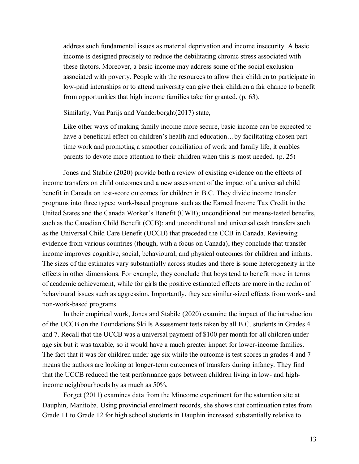address such fundamental issues as material deprivation and income insecurity. A basic income is designed precisely to reduce the debilitating chronic stress associated with these factors. Moreover, a basic income may address some of the social exclusion associated with poverty. People with the resources to allow their children to participate in low-paid internships or to attend university can give their children a fair chance to benefit from opportunities that high income families take for granted. (p. 63).

Similarly, Van Parijs and Vanderborght(2017) state,

Like other ways of making family income more secure, basic income can be expected to have a beneficial effect on children's health and education...by facilitating chosen parttime work and promoting a smoother conciliation of work and family life, it enables parents to devote more attention to their children when this is most needed. (p. 25)

Jones and Stabile (2020) provide both a review of existing evidence on the effects of income transfers on child outcomes and a new assessment of the impact of a universal child benefit in Canada on test-score outcomes for children in B.C. They divide income transfer programs into three types: work-based programs such as the Earned Income Tax Credit in the United States and the Canada Worker's Benefit (CWB); unconditional but means-tested benefits, such as the Canadian Child Benefit (CCB); and unconditional and universal cash transfers such as the Universal Child Care Benefit (UCCB) that preceded the CCB in Canada. Reviewing evidence from various countries (though, with a focus on Canada), they conclude that transfer income improves cognitive, social, behavioural, and physical outcomes for children and infants. The sizes of the estimates vary substantially across studies and there is some heterogeneity in the effects in other dimensions. For example, they conclude that boys tend to benefit more in terms of academic achievement, while for girls the positive estimated effects are more in the realm of behavioural issues such as aggression. Importantly, they see similar-sized effects from work- and non-work-based programs.

In their empirical work, Jones and Stabile (2020) examine the impact of the introduction of the UCCB on the Foundations Skills Assessment tests taken by all B.C. students in Grades 4 and 7. Recall that the UCCB was a universal payment of \$100 per month for all children under age six but it was taxable, so it would have a much greater impact for lower-income families. The fact that it was for children under age six while the outcome is test scores in grades 4 and 7 means the authors are looking at longer-term outcomes of transfers during infancy. They find that the UCCB reduced the test performance gaps between children living in low- and highincome neighbourhoods by as much as 50%.

Forget (2011) examines data from the Mincome experiment for the saturation site at Dauphin, Manitoba. Using provincial enrolment records, she shows that continuation rates from Grade 11 to Grade 12 for high school students in Dauphin increased substantially relative to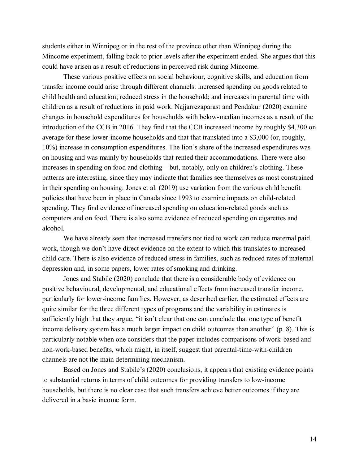students either in Winnipeg or in the rest of the province other than Winnipeg during the Mincome experiment, falling back to prior levels after the experiment ended. She argues that this could have arisen as a result of reductions in perceived risk during Mincome.

These various positive effects on social behaviour, cognitive skills, and education from transfer income could arise through different channels: increased spending on goods related to child health and education; reduced stress in the household; and increases in parental time with children as a result of reductions in paid work. Najjarrezaparast and Pendakur (2020) examine changes in household expenditures for households with below-median incomes as a result of the introduction of the CCB in 2016. They find that the CCB increased income by roughly \$4,300 on average for these lower-income households and that that translated into a \$3,000 (or, roughly, 10%) increase in consumption expenditures. The lion's share of the increased expenditures was on housing and was mainly by households that rented their accommodations. There were also increases in spending on food and clothing—but, notably, only on children's clothing. These patterns are interesting, since they may indicate that families see themselves as most constrained in their spending on housing. Jones et al. (2019) use variation from the various child benefit policies that have been in place in Canada since 1993 to examine impacts on child-related spending. They find evidence of increased spending on education-related goods such as computers and on food. There is also some evidence of reduced spending on cigarettes and alcohol.

We have already seen that increased transfers not tied to work can reduce maternal paid work, though we don't have direct evidence on the extent to which this translates to increased child care. There is also evidence of reduced stress in families, such as reduced rates of maternal depression and, in some papers, lower rates of smoking and drinking.

Jones and Stabile (2020) conclude that there is a considerable body of evidence on positive behavioural, developmental, and educational effects from increased transfer income, particularly for lower-income families. However, as described earlier, the estimated effects are quite similar for the three different types of programs and the variability in estimates is sufficiently high that they argue, "it isn't clear that one can conclude that one type of benefit income delivery system has a much larger impact on child outcomes than another" (p. 8). This is particularly notable when one considers that the paper includes comparisons of work-based and non-work-based benefits, which might, in itself, suggest that parental-time-with-children channels are not the main determining mechanism.

Based on Jones and Stabile's (2020) conclusions, it appears that existing evidence points to substantial returns in terms of child outcomes for providing transfers to low-income households, but there is no clear case that such transfers achieve better outcomes if they are delivered in a basic income form.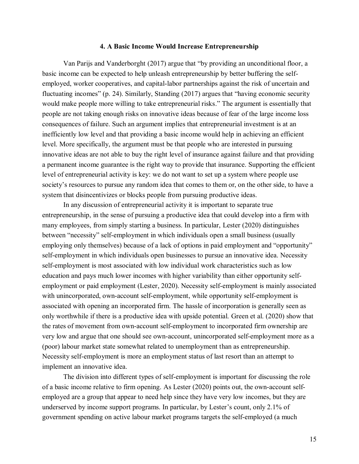## **4. A Basic Income Would Increase Entrepreneurship**

Van Parijs and Vanderborght (2017) argue that "by providing an unconditional floor, a basic income can be expected to help unleash entrepreneurship by better buffering the selfemployed, worker cooperatives, and capital-labor partnerships against the risk of uncertain and fluctuating incomes" (p. 24). Similarly, Standing (2017) argues that "having economic security would make people more willing to take entrepreneurial risks." The argument is essentially that people are not taking enough risks on innovative ideas because of fear of the large income loss consequences of failure. Such an argument implies that entrepreneurial investment is at an inefficiently low level and that providing a basic income would help in achieving an efficient level. More specifically, the argument must be that people who are interested in pursuing innovative ideas are not able to buy the right level of insurance against failure and that providing a permanent income guarantee is the right way to provide that insurance. Supporting the efficient level of entrepreneurial activity is key: we do not want to set up a system where people use society's resources to pursue any random idea that comes to them or, on the other side, to have a system that disincentivizes or blocks people from pursuing productive ideas.

In any discussion of entrepreneurial activity it is important to separate true entrepreneurship, in the sense of pursuing a productive idea that could develop into a firm with many employees, from simply starting a business. In particular, Lester (2020) distinguishes between "necessity" self-employment in which individuals open a small business (usually employing only themselves) because of a lack of options in paid employment and "opportunity" self-employment in which individuals open businesses to pursue an innovative idea. Necessity self-employment is most associated with low individual work characteristics such as low education and pays much lower incomes with higher variability than either opportunity selfemployment or paid employment (Lester, 2020). Necessity self-employment is mainly associated with unincorporated, own-account self-employment, while opportunity self-employment is associated with opening an incorporated firm. The hassle of incorporation is generally seen as only worthwhile if there is a productive idea with upside potential. Green et al. (2020) show that the rates of movement from own-account self-employment to incorporated firm ownership are very low and argue that one should see own-account, unincorporated self-employment more as a (poor) labour market state somewhat related to unemployment than as entrepreneurship. Necessity self-employment is more an employment status of last resort than an attempt to implement an innovative idea.

The division into different types of self-employment is important for discussing the role of a basic income relative to firm opening. As Lester (2020) points out, the own-account selfemployed are a group that appear to need help since they have very low incomes, but they are underserved by income support programs. In particular, by Lester's count, only 2.1% of government spending on active labour market programs targets the self-employed (a much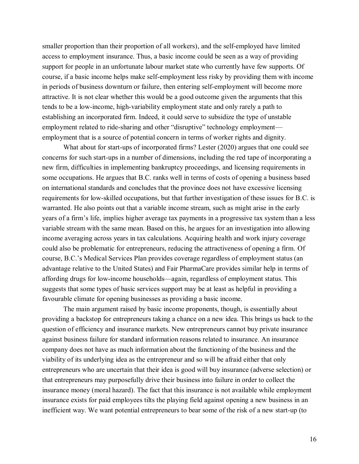smaller proportion than their proportion of all workers), and the self-employed have limited access to employment insurance. Thus, a basic income could be seen as a way of providing support for people in an unfortunate labour market state who currently have few supports. Of course, if a basic income helps make self-employment less risky by providing them with income in periods of business downturn or failure, then entering self-employment will become more attractive. It is not clear whether this would be a good outcome given the arguments that this tends to be a low-income, high-variability employment state and only rarely a path to establishing an incorporated firm. Indeed, it could serve to subsidize the type of unstable employment related to ride-sharing and other "disruptive" technology employment employment that is a source of potential concern in terms of worker rights and dignity.

What about for start-ups of incorporated firms? Lester (2020) argues that one could see concerns for such start-ups in a number of dimensions, including the red tape of incorporating a new firm, difficulties in implementing bankruptcy proceedings, and licensing requirements in some occupations. He argues that B.C. ranks well in terms of costs of opening a business based on international standards and concludes that the province does not have excessive licensing requirements for low-skilled occupations, but that further investigation of these issues for B.C. is warranted. He also points out that a variable income stream, such as might arise in the early years of a firm's life, implies higher average tax payments in a progressive tax system than a less variable stream with the same mean. Based on this, he argues for an investigation into allowing income averaging across years in tax calculations. Acquiring health and work injury coverage could also be problematic for entrepreneurs, reducing the attractiveness of opening a firm. Of course, B.C.'s Medical Services Plan provides coverage regardless of employment status (an advantage relative to the United States) and Fair PharmaCare provides similar help in terms of affording drugs for low-income households—again, regardless of employment status. This suggests that some types of basic services support may be at least as helpful in providing a favourable climate for opening businesses as providing a basic income.

The main argument raised by basic income proponents, though, is essentially about providing a backstop for entrepreneurs taking a chance on a new idea. This brings us back to the question of efficiency and insurance markets. New entrepreneurs cannot buy private insurance against business failure for standard information reasons related to insurance. An insurance company does not have as much information about the functioning of the business and the viability of its underlying idea as the entrepreneur and so will be afraid either that only entrepreneurs who are uncertain that their idea is good will buy insurance (adverse selection) or that entrepreneurs may purposefully drive their business into failure in order to collect the insurance money (moral hazard). The fact that this insurance is not available while employment insurance exists for paid employees tilts the playing field against opening a new business in an inefficient way. We want potential entrepreneurs to bear some of the risk of a new start-up (to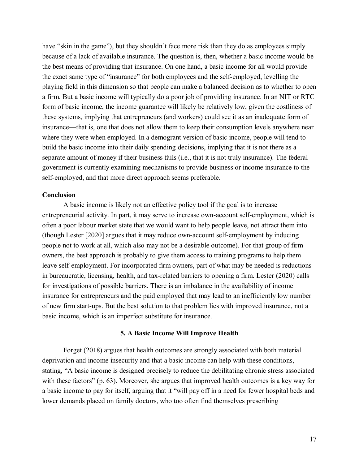have "skin in the game"), but they shouldn't face more risk than they do as employees simply because of a lack of available insurance. The question is, then, whether a basic income would be the best means of providing that insurance. On one hand, a basic income for all would provide the exact same type of "insurance" for both employees and the self-employed, levelling the playing field in this dimension so that people can make a balanced decision as to whether to open a firm. But a basic income will typically do a poor job of providing insurance. In an NIT or RTC form of basic income, the income guarantee will likely be relatively low, given the costliness of these systems, implying that entrepreneurs (and workers) could see it as an inadequate form of insurance—that is, one that does not allow them to keep their consumption levels anywhere near where they were when employed. In a demogrant version of basic income, people will tend to build the basic income into their daily spending decisions, implying that it is not there as a separate amount of money if their business fails (i.e., that it is not truly insurance). The federal government is currently examining mechanisms to provide business or income insurance to the self-employed, and that more direct approach seems preferable.

## **Conclusion**

A basic income is likely not an effective policy tool if the goal is to increase entrepreneurial activity. In part, it may serve to increase own-account self-employment, which is often a poor labour market state that we would want to help people leave, not attract them into (though Lester [2020] argues that it may reduce own-account self-employment by inducing people not to work at all, which also may not be a desirable outcome). For that group of firm owners, the best approach is probably to give them access to training programs to help them leave self-employment. For incorporated firm owners, part of what may be needed is reductions in bureaucratic, licensing, health, and tax-related barriers to opening a firm. Lester (2020) calls for investigations of possible barriers. There is an imbalance in the availability of income insurance for entrepreneurs and the paid employed that may lead to an inefficiently low number of new firm start-ups. But the best solution to that problem lies with improved insurance, not a basic income, which is an imperfect substitute for insurance.

## **5. A Basic Income Will Improve Health**

Forget (2018) argues that health outcomes are strongly associated with both material deprivation and income insecurity and that a basic income can help with these conditions, stating, "A basic income is designed precisely to reduce the debilitating chronic stress associated with these factors" (p. 63). Moreover, she argues that improved health outcomes is a key way for a basic income to pay for itself, arguing that it "will pay off in a need for fewer hospital beds and lower demands placed on family doctors, who too often find themselves prescribing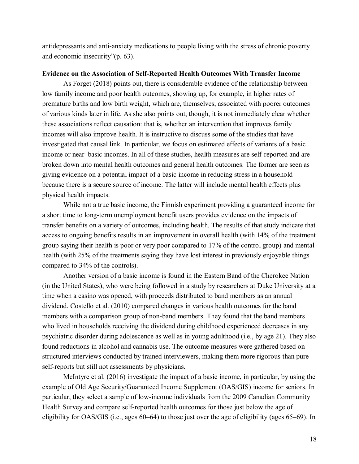antidepressants and anti-anxiety medications to people living with the stress of chronic poverty and economic insecurity"(p. 63).

# **Evidence on the Association of Self-Reported Health Outcomes With Transfer Income**

As Forget (2018) points out, there is considerable evidence of the relationship between low family income and poor health outcomes, showing up, for example, in higher rates of premature births and low birth weight, which are, themselves, associated with poorer outcomes of various kinds later in life. As she also points out, though, it is not immediately clear whether these associations reflect causation: that is, whether an intervention that improves family incomes will also improve health. It is instructive to discuss some of the studies that have investigated that causal link. In particular, we focus on estimated effects of variants of a basic income or near–basic incomes. In all of these studies, health measures are self-reported and are broken down into mental health outcomes and general health outcomes. The former are seen as giving evidence on a potential impact of a basic income in reducing stress in a household because there is a secure source of income. The latter will include mental health effects plus physical health impacts.

While not a true basic income, the Finnish experiment providing a guaranteed income for a short time to long-term unemployment benefit users provides evidence on the impacts of transfer benefits on a variety of outcomes, including health. The results of that study indicate that access to ongoing benefits results in an improvement in overall health (with 14% of the treatment group saying their health is poor or very poor compared to 17% of the control group) and mental health (with 25% of the treatments saying they have lost interest in previously enjoyable things compared to 34% of the controls).

Another version of a basic income is found in the Eastern Band of the Cherokee Nation (in the United States), who were being followed in a study by researchers at Duke University at a time when a casino was opened, with proceeds distributed to band members as an annual dividend. Costello et al. (2010) compared changes in various health outcomes for the band members with a comparison group of non-band members. They found that the band members who lived in households receiving the dividend during childhood experienced decreases in any psychiatric disorder during adolescence as well as in young adulthood (i.e., by age 21). They also found reductions in alcohol and cannabis use. The outcome measures were gathered based on structured interviews conducted by trained interviewers, making them more rigorous than pure self-reports but still not assessments by physicians.

McIntyre et al. (2016) investigate the impact of a basic income, in particular, by using the example of Old Age Security/Guaranteed Income Supplement (OAS/GIS) income for seniors. In particular, they select a sample of low-income individuals from the 2009 Canadian Community Health Survey and compare self-reported health outcomes for those just below the age of eligibility for OAS/GIS (i.e., ages 60–64) to those just over the age of eligibility (ages 65–69). In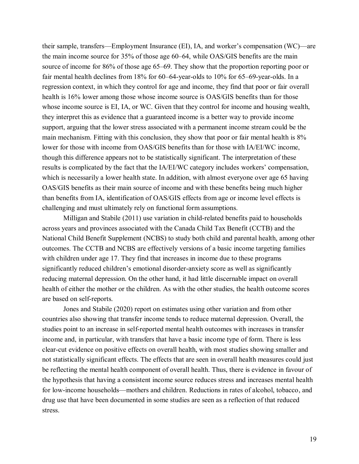their sample, transfers—Employment Insurance (EI), IA, and worker's compensation (WC)—are the main income source for 35% of those age 60–64, while OAS/GIS benefits are the main source of income for 86% of those age 65–69. They show that the proportion reporting poor or fair mental health declines from 18% for 60–64-year-olds to 10% for 65–69-year-olds. In a regression context, in which they control for age and income, they find that poor or fair overall health is 16% lower among those whose income source is OAS/GIS benefits than for those whose income source is EI, IA, or WC. Given that they control for income and housing wealth, they interpret this as evidence that a guaranteed income is a better way to provide income support, arguing that the lower stress associated with a permanent income stream could be the main mechanism. Fitting with this conclusion, they show that poor or fair mental health is 8% lower for those with income from OAS/GIS benefits than for those with IA/EI/WC income, though this difference appears not to be statistically significant. The interpretation of these results is complicated by the fact that the IA/EI/WC category includes workers' compensation, which is necessarily a lower health state. In addition, with almost everyone over age 65 having OAS/GIS benefits as their main source of income and with these benefits being much higher than benefits from IA, identification of OAS/GIS effects from age or income level effects is challenging and must ultimately rely on functional form assumptions.

Milligan and Stabile (2011) use variation in child-related benefits paid to households across years and provinces associated with the Canada Child Tax Benefit (CCTB) and the National Child Benefit Supplement (NCBS) to study both child and parental health, among other outcomes. The CCTB and NCBS are effectively versions of a basic income targeting families with children under age 17. They find that increases in income due to these programs significantly reduced children's emotional disorder-anxiety score as well as significantly reducing maternal depression. On the other hand, it had little discernable impact on overall health of either the mother or the children. As with the other studies, the health outcome scores are based on self-reports.

Jones and Stabile (2020) report on estimates using other variation and from other countries also showing that transfer income tends to reduce maternal depression. Overall, the studies point to an increase in self-reported mental health outcomes with increases in transfer income and, in particular, with transfers that have a basic income type of form. There is less clear-cut evidence on positive effects on overall health, with most studies showing smaller and not statistically significant effects. The effects that are seen in overall health measures could just be reflecting the mental health component of overall health. Thus, there is evidence in favour of the hypothesis that having a consistent income source reduces stress and increases mental health for low-income households—mothers and children. Reductions in rates of alcohol, tobacco, and drug use that have been documented in some studies are seen as a reflection of that reduced stress.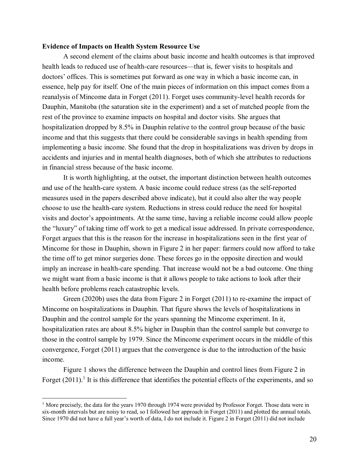# **Evidence of Impacts on Health System Resource Use**

A second element of the claims about basic income and health outcomes is that improved health leads to reduced use of health-care resources—that is, fewer visits to hospitals and doctors' offices. This is sometimes put forward as one way in which a basic income can, in essence, help pay for itself. One of the main pieces of information on this impact comes from a reanalysis of Mincome data in Forget (2011). Forget uses community-level health records for Dauphin, Manitoba (the saturation site in the experiment) and a set of matched people from the rest of the province to examine impacts on hospital and doctor visits. She argues that hospitalization dropped by 8.5% in Dauphin relative to the control group because of the basic income and that this suggests that there could be considerable savings in health spending from implementing a basic income. She found that the drop in hospitalizations was driven by drops in accidents and injuries and in mental health diagnoses, both of which she attributes to reductions in financial stress because of the basic income.

It is worth highlighting, at the outset, the important distinction between health outcomes and use of the health-care system. A basic income could reduce stress (as the self-reported measures used in the papers described above indicate), but it could also alter the way people choose to use the health-care system. Reductions in stress could reduce the need for hospital visits and doctor's appointments. At the same time, having a reliable income could allow people the "luxury" of taking time off work to get a medical issue addressed. In private correspondence, Forget argues that this is the reason for the increase in hospitalizations seen in the first year of Mincome for those in Dauphin, shown in Figure 2 in her paper: farmers could now afford to take the time off to get minor surgeries done. These forces go in the opposite direction and would imply an increase in health-care spending. That increase would not be a bad outcome. One thing we might want from a basic income is that it allows people to take actions to look after their health before problems reach catastrophic levels.

Green (2020b) uses the data from Figure 2 in Forget (2011) to re-examine the impact of Mincome on hospitalizations in Dauphin. That figure shows the levels of hospitalizations in Dauphin and the control sample for the years spanning the Mincome experiment. In it, hospitalization rates are about 8.5% higher in Dauphin than the control sample but converge to those in the control sample by 1979. Since the Mincome experiment occurs in the middle of this convergence, Forget (2011) argues that the convergence is due to the introduction of the basic income.

Figure 1 shows the difference between the Dauphin and control lines from Figure 2 in Forget  $(2011)$ .<sup>1</sup> It is this difference that identifies the potential effects of the experiments, and so

 $\overline{a}$ 

<sup>&</sup>lt;sup>1</sup> More precisely, the data for the years 1970 through 1974 were provided by Professor Forget. Those data were in six-month intervals but are noisy to read, so I followed her approach in Forget (2011) and plotted the annual totals. Since 1970 did not have a full year's worth of data, I do not include it. Figure 2 in Forget (2011) did not include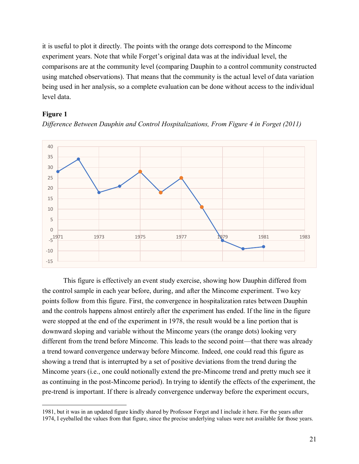it is useful to plot it directly. The points with the orange dots correspond to the Mincome experiment years. Note that while Forget's original data was at the individual level, the comparisons are at the community level (comparing Dauphin to a control community constructed using matched observations). That means that the community is the actual level of data variation being used in her analysis, so a complete evaluation can be done without access to the individual level data.

# **Figure 1**



*Difference Between Dauphin and Control Hospitalizations, From Figure 4 in Forget (2011)*

This figure is effectively an event study exercise, showing how Dauphin differed from the control sample in each year before, during, and after the Mincome experiment. Two key points follow from this figure. First, the convergence in hospitalization rates between Dauphin and the controls happens almost entirely after the experiment has ended. If the line in the figure were stopped at the end of the experiment in 1978, the result would be a line portion that is downward sloping and variable without the Mincome years (the orange dots) looking very different from the trend before Mincome. This leads to the second point—that there was already a trend toward convergence underway before Mincome. Indeed, one could read this figure as showing a trend that is interrupted by a set of positive deviations from the trend during the Mincome years (i.e., one could notionally extend the pre-Mincome trend and pretty much see it as continuing in the post-Mincome period). In trying to identify the effects of the experiment, the pre-trend is important. If there is already convergence underway before the experiment occurs,

 $\overline{a}$ 1981, but it was in an updated figure kindly shared by Professor Forget and I include it here. For the years after 1974, I eyeballed the values from that figure, since the precise underlying values were not available for those years.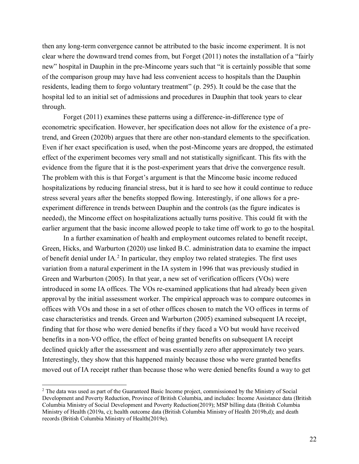then any long-term convergence cannot be attributed to the basic income experiment. It is not clear where the downward trend comes from, but Forget (2011) notes the installation of a "fairly new" hospital in Dauphin in the pre-Mincome years such that "it is certainly possible that some of the comparison group may have had less convenient access to hospitals than the Dauphin residents, leading them to forgo voluntary treatment" (p. 295). It could be the case that the hospital led to an initial set of admissions and procedures in Dauphin that took years to clear through.

Forget (2011) examines these patterns using a difference-in-difference type of econometric specification. However, her specification does not allow for the existence of a pretrend, and Green (2020b) argues that there are other non-standard elements to the specification. Even if her exact specification is used, when the post-Mincome years are dropped, the estimated effect of the experiment becomes very small and not statistically significant. This fits with the evidence from the figure that it is the post-experiment years that drive the convergence result. The problem with this is that Forget's argument is that the Mincome basic income reduced hospitalizations by reducing financial stress, but it is hard to see how it could continue to reduce stress several years after the benefits stopped flowing. Interestingly, if one allows for a preexperiment difference in trends between Dauphin and the controls (as the figure indicates is needed), the Mincome effect on hospitalizations actually turns positive. This could fit with the earlier argument that the basic income allowed people to take time off work to go to the hospital.

In a further examination of health and employment outcomes related to benefit receipt, Green, Hicks, and Warburton (2020) use linked B.C. administration data to examine the impact of benefit denial under  $IA.$ <sup>2</sup> In particular, they employ two related strategies. The first uses variation from a natural experiment in the IA system in 1996 that was previously studied in Green and Warburton (2005). In that year, a new set of verification officers (VOs) were introduced in some IA offices. The VOs re-examined applications that had already been given approval by the initial assessment worker. The empirical approach was to compare outcomes in offices with VOs and those in a set of other offices chosen to match the VO offices in terms of case characteristics and trends. Green and Warburton (2005) examined subsequent IA receipt, finding that for those who were denied benefits if they faced a VO but would have received benefits in a non-VO office, the effect of being granted benefits on subsequent IA receipt declined quickly after the assessment and was essentially zero after approximately two years. Interestingly, they show that this happened mainly because those who were granted benefits moved out of IA receipt rather than because those who were denied benefits found a way to get

 $\overline{a}$ 

<sup>&</sup>lt;sup>2</sup> The data was used as part of the Guaranteed Basic Income project, commissioned by the Ministry of Social Development and Poverty Reduction, Province of British Columbia, and includes: Income Assistance data (British Columbia Ministry of Social Development and Poverty Reduction(2019); MSP billing data (British Columbia Ministry of Health (2019a, c); health outcome data (British Columbia Ministry of Health 2019b,d); and death records (British Columbia Ministry of Health(2019e).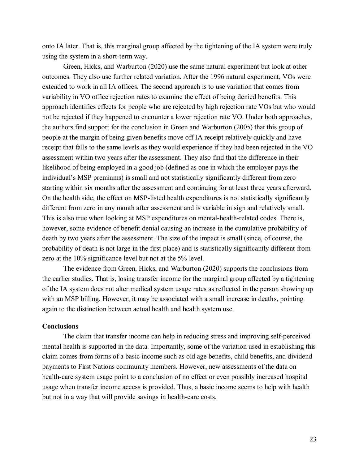onto IA later. That is, this marginal group affected by the tightening of the IA system were truly using the system in a short-term way.

Green, Hicks, and Warburton (2020) use the same natural experiment but look at other outcomes. They also use further related variation. After the 1996 natural experiment, VOs were extended to work in all IA offices. The second approach is to use variation that comes from variability in VO office rejection rates to examine the effect of being denied benefits. This approach identifies effects for people who are rejected by high rejection rate VOs but who would not be rejected if they happened to encounter a lower rejection rate VO. Under both approaches, the authors find support for the conclusion in Green and Warburton (2005) that this group of people at the margin of being given benefits move off IA receipt relatively quickly and have receipt that falls to the same levels as they would experience if they had been rejected in the VO assessment within two years after the assessment. They also find that the difference in their likelihood of being employed in a good job (defined as one in which the employer pays the individual's MSP premiums) is small and not statistically significantly different from zero starting within six months after the assessment and continuing for at least three years afterward. On the health side, the effect on MSP-listed health expenditures is not statistically significantly different from zero in any month after assessment and is variable in sign and relatively small. This is also true when looking at MSP expenditures on mental-health-related codes. There is, however, some evidence of benefit denial causing an increase in the cumulative probability of death by two years after the assessment. The size of the impact is small (since, of course, the probability of death is not large in the first place) and is statistically significantly different from zero at the 10% significance level but not at the 5% level.

The evidence from Green, Hicks, and Warburton (2020) supports the conclusions from the earlier studies. That is, losing transfer income for the marginal group affected by a tightening of the IA system does not alter medical system usage rates as reflected in the person showing up with an MSP billing. However, it may be associated with a small increase in deaths, pointing again to the distinction between actual health and health system use.

# **Conclusions**

The claim that transfer income can help in reducing stress and improving self-perceived mental health is supported in the data. Importantly, some of the variation used in establishing this claim comes from forms of a basic income such as old age benefits, child benefits, and dividend payments to First Nations community members. However, new assessments of the data on health-care system usage point to a conclusion of no effect or even possibly increased hospital usage when transfer income access is provided. Thus, a basic income seems to help with health but not in a way that will provide savings in health-care costs.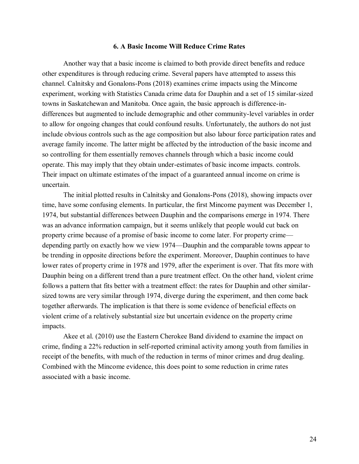## **6. A Basic Income Will Reduce Crime Rates**

Another way that a basic income is claimed to both provide direct benefits and reduce other expenditures is through reducing crime. Several papers have attempted to assess this channel. Calnitsky and Gonalons-Pons (2018) examines crime impacts using the Mincome experiment, working with Statistics Canada crime data for Dauphin and a set of 15 similar-sized towns in Saskatchewan and Manitoba. Once again, the basic approach is difference-indifferences but augmented to include demographic and other community-level variables in order to allow for ongoing changes that could confound results. Unfortunately, the authors do not just include obvious controls such as the age composition but also labour force participation rates and average family income. The latter might be affected by the introduction of the basic income and so controlling for them essentially removes channels through which a basic income could operate. This may imply that they obtain under-estimates of basic income impacts. controls. Their impact on ultimate estimates of the impact of a guaranteed annual income on crime is uncertain.

The initial plotted results in Calnitsky and Gonalons-Pons (2018), showing impacts over time, have some confusing elements. In particular, the first Mincome payment was December 1, 1974, but substantial differences between Dauphin and the comparisons emerge in 1974. There was an advance information campaign, but it seems unlikely that people would cut back on property crime because of a promise of basic income to come later. For property crime depending partly on exactly how we view 1974—Dauphin and the comparable towns appear to be trending in opposite directions before the experiment. Moreover, Dauphin continues to have lower rates of property crime in 1978 and 1979, after the experiment is over. That fits more with Dauphin being on a different trend than a pure treatment effect. On the other hand, violent crime follows a pattern that fits better with a treatment effect: the rates for Dauphin and other similarsized towns are very similar through 1974, diverge during the experiment, and then come back together afterwards. The implication is that there is some evidence of beneficial effects on violent crime of a relatively substantial size but uncertain evidence on the property crime impacts.

Akee et al. (2010) use the Eastern Cherokee Band dividend to examine the impact on crime, finding a 22% reduction in self-reported criminal activity among youth from families in receipt of the benefits, with much of the reduction in terms of minor crimes and drug dealing. Combined with the Mincome evidence, this does point to some reduction in crime rates associated with a basic income.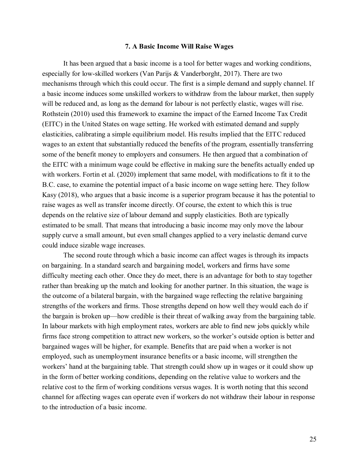## **7. A Basic Income Will Raise Wages**

It has been argued that a basic income is a tool for better wages and working conditions, especially for low-skilled workers (Van Parijs & Vanderborght, 2017). There are two mechanisms through which this could occur. The first is a simple demand and supply channel. If a basic income induces some unskilled workers to withdraw from the labour market, then supply will be reduced and, as long as the demand for labour is not perfectly elastic, wages will rise. Rothstein (2010) used this framework to examine the impact of the Earned Income Tax Credit (EITC) in the United States on wage setting. He worked with estimated demand and supply elasticities, calibrating a simple equilibrium model. His results implied that the EITC reduced wages to an extent that substantially reduced the benefits of the program, essentially transferring some of the benefit money to employers and consumers. He then argued that a combination of the EITC with a minimum wage could be effective in making sure the benefits actually ended up with workers. Fortin et al. (2020) implement that same model, with modifications to fit it to the B.C. case, to examine the potential impact of a basic income on wage setting here. They follow Kasy (2018), who argues that a basic income is a superior program because it has the potential to raise wages as well as transfer income directly. Of course, the extent to which this is true depends on the relative size of labour demand and supply elasticities. Both are typically estimated to be small. That means that introducing a basic income may only move the labour supply curve a small amount, but even small changes applied to a very inelastic demand curve could induce sizable wage increases.

The second route through which a basic income can affect wages is through its impacts on bargaining. In a standard search and bargaining model, workers and firms have some difficulty meeting each other. Once they do meet, there is an advantage for both to stay together rather than breaking up the match and looking for another partner. In this situation, the wage is the outcome of a bilateral bargain, with the bargained wage reflecting the relative bargaining strengths of the workers and firms. Those strengths depend on how well they would each do if the bargain is broken up—how credible is their threat of walking away from the bargaining table. In labour markets with high employment rates, workers are able to find new jobs quickly while firms face strong competition to attract new workers, so the worker's outside option is better and bargained wages will be higher, for example. Benefits that are paid when a worker is not employed, such as unemployment insurance benefits or a basic income, will strengthen the workers' hand at the bargaining table. That strength could show up in wages or it could show up in the form of better working conditions, depending on the relative value to workers and the relative cost to the firm of working conditions versus wages. It is worth noting that this second channel for affecting wages can operate even if workers do not withdraw their labour in response to the introduction of a basic income.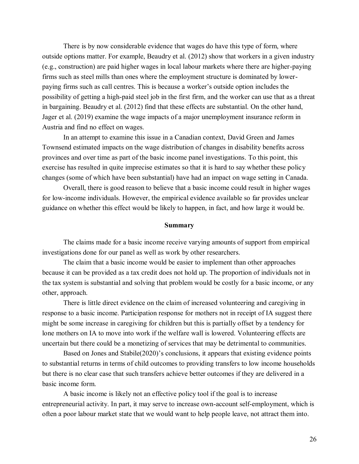There is by now considerable evidence that wages do have this type of form, where outside options matter. For example, Beaudry et al. (2012) show that workers in a given industry (e.g., construction) are paid higher wages in local labour markets where there are higher-paying firms such as steel mills than ones where the employment structure is dominated by lowerpaying firms such as call centres. This is because a worker's outside option includes the possibility of getting a high-paid steel job in the first firm, and the worker can use that as a threat in bargaining. Beaudry et al. (2012) find that these effects are substantial. On the other hand, Jager et al. (2019) examine the wage impacts of a major unemployment insurance reform in Austria and find no effect on wages.

In an attempt to examine this issue in a Canadian context, David Green and James Townsend estimated impacts on the wage distribution of changes in disability benefits across provinces and over time as part of the basic income panel investigations. To this point, this exercise has resulted in quite imprecise estimates so that it is hard to say whether these policy changes (some of which have been substantial) have had an impact on wage setting in Canada.

Overall, there is good reason to believe that a basic income could result in higher wages for low-income individuals. However, the empirical evidence available so far provides unclear guidance on whether this effect would be likely to happen, in fact, and how large it would be.

### **Summary**

The claims made for a basic income receive varying amounts of support from empirical investigations done for our panel as well as work by other researchers.

The claim that a basic income would be easier to implement than other approaches because it can be provided as a tax credit does not hold up. The proportion of individuals not in the tax system is substantial and solving that problem would be costly for a basic income, or any other, approach.

There is little direct evidence on the claim of increased volunteering and caregiving in response to a basic income. Participation response for mothers not in receipt of IA suggest there might be some increase in caregiving for children but this is partially offset by a tendency for lone mothers on IA to move into work if the welfare wall is lowered. Volunteering effects are uncertain but there could be a monetizing of services that may be detrimental to communities.

Based on Jones and Stabile(2020)'s conclusions, it appears that existing evidence points to substantial returns in terms of child outcomes to providing transfers to low income households but there is no clear case that such transfers achieve better outcomes if they are delivered in a basic income form.

A basic income is likely not an effective policy tool if the goal is to increase entrepreneurial activity. In part, it may serve to increase own-account self-employment, which is often a poor labour market state that we would want to help people leave, not attract them into.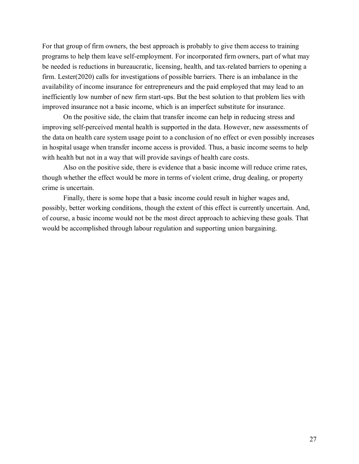For that group of firm owners, the best approach is probably to give them access to training programs to help them leave self-employment. For incorporated firm owners, part of what may be needed is reductions in bureaucratic, licensing, health, and tax-related barriers to opening a firm. Lester(2020) calls for investigations of possible barriers. There is an imbalance in the availability of income insurance for entrepreneurs and the paid employed that may lead to an inefficiently low number of new firm start-ups. But the best solution to that problem lies with improved insurance not a basic income, which is an imperfect substitute for insurance.

On the positive side, the claim that transfer income can help in reducing stress and improving self-perceived mental health is supported in the data. However, new assessments of the data on health care system usage point to a conclusion of no effect or even possibly increases in hospital usage when transfer income access is provided. Thus, a basic income seems to help with health but not in a way that will provide savings of health care costs.

Also on the positive side, there is evidence that a basic income will reduce crime rates, though whether the effect would be more in terms of violent crime, drug dealing, or property crime is uncertain.

Finally, there is some hope that a basic income could result in higher wages and, possibly, better working conditions, though the extent of this effect is currently uncertain. And, of course, a basic income would not be the most direct approach to achieving these goals. That would be accomplished through labour regulation and supporting union bargaining.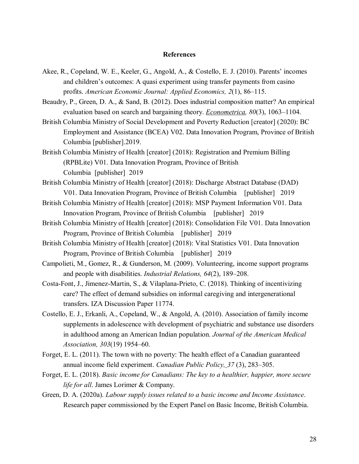## **References**

- Akee, R., Copeland, W. E., Keeler, G., Angold, A., & Costello, E. J. (2010). Parents' incomes and children's outcomes: A quasi experiment using transfer payments from casino profits. *American Economic Journal: Applied Economics, 2*(1), 86–115.
- Beaudry, P., Green, D. A., & Sand, B. (2012). Does industrial composition matter? An empirical evaluation based on search and bargaining theory. *Econometrica, 80*(3), 1063–1104.
- British Columbia Ministry of Social Development and Poverty Reduction [creator] (2020): BC Employment and Assistance (BCEA) V02. Data Innovation Program, Province of British Columbia [publisher].2019.
- British Columbia Ministry of Health [creator] (2018): Registration and Premium Billing (RPBLite) V01. Data Innovation Program, Province of British Columbia [publisher] 2019
- British Columbia Ministry of Health [creator] (2018): Discharge Abstract Database (DAD) V01. Data Innovation Program, Province of British Columbia [publisher] 2019
- British Columbia Ministry of Health [creator] (2018): MSP Payment Information V01. Data Innovation Program, Province of British Columbia [publisher] 2019
- British Columbia Ministry of Health [creator] (2018): Consolidation File V01. Data Innovation Program, Province of British Columbia [publisher] 2019
- British Columbia Ministry of Health [creator] (2018): Vital Statistics V01. Data Innovation Program, Province of British Columbia [publisher] 2019
- Campolieti, M., Gomez, R., & Gunderson, M. (2009). Volunteering, income support programs and people with disabilities. *Industrial Relations, 64*(2), 189–208.
- Costa-Font, J., Jimenez-Martin, S., & Vilaplana-Prieto, C. (2018). Thinking of incentivizing care? The effect of demand subsidies on informal caregiving and intergenerational transfers. IZA Discussion Paper 11774.
- Costello, E. J., Erkanli, A., Copeland, W., & Angold, A. (2010). Association of family income supplements in adolescence with development of psychiatric and substance use disorders in adulthood among an American Indian population. *Journal of the American Medical Association, 303*(19) 1954–60.
- Forget, E. L. (2011). The town with no poverty: The health effect of a Canadian guaranteed annual income field experiment. *Canadian Public Policy, 37* (3), 283–305.
- Forget, E. L. (2018). *Basic income for Canadians: The key to a healthier, happier, more secure life for all*. James Lorimer & Company.
- Green, D. A. (2020a). *Labour supply issues related to a basic income and Income Assistance*. Research paper commissioned by the Expert Panel on Basic Income, British Columbia.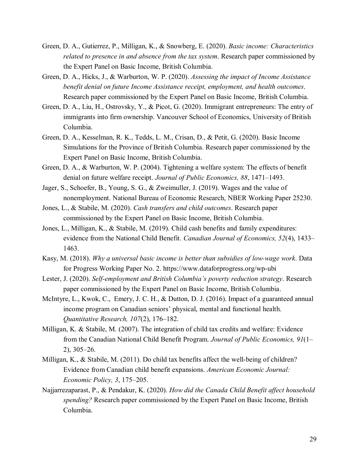- Green, D. A., Gutierrez, P., Milligan, K., & Snowberg, E. (2020). *Basic income: Characteristics related to presence in and absence from the tax system*. Research paper commissioned by the Expert Panel on Basic Income, British Columbia.
- Green, D. A., Hicks, J., & Warburton, W. P. (2020). *Assessing the impact of Income Assistance benefit denial on future Income Assistance receipt, employment, and health outcomes*. Research paper commissioned by the Expert Panel on Basic Income, British Columbia.
- Green, D. A., Liu, H., Ostrovsky, Y., & Picot, G. (2020). Immigrant entrepreneurs: The entry of immigrants into firm ownership. Vancouver School of Economics, University of British Columbia.
- Green, D. A., Kesselman, R. K., Tedds, L. M., Crisan, D., & Petit, G. (2020). Basic Income Simulations for the Province of British Columbia. Research paper commissioned by the Expert Panel on Basic Income, British Columbia.
- Green, D. A., & Warburton, W. P. (2004). Tightening a welfare system: The effects of benefit denial on future welfare receipt. *Journal of Public Economics, 88*, 1471–1493.
- Jager, S., Schoefer, B., Young, S. G., & Zweimuller, J. (2019). Wages and the value of nonemployment. National Bureau of Economic Research, NBER Working Paper 25230.
- Jones, L., & Stabile, M. (2020). *Cash transfers and child outcomes*. Research paper commissioned by the Expert Panel on Basic Income, British Columbia.
- Jones, L., Milligan, K., & Stabile, M. (2019). Child cash benefits and family expenditures: evidence from the National Child Benefit. *Canadian Journal of Economics, 52*(4), 1433– 1463.
- Kasy, M. (2018). *Why a universal basic income is better than subsidies of low-wage work*. Data for Progress Working Paper No. 2. https://www.dataforprogress.org/wp-ubi
- Lester, J. (2020). *Self-employment and British Columbia's poverty reduction strategy*. Research paper commissioned by the Expert Panel on Basic Income, British Columbia.
- McIntyre, L., Kwok, C., Emery, J. C. H., & Dutton, D. J. (2016). Impact of a guaranteed annual income program on Canadian seniors' physical, mental and functional health. *Quantitative Research, 107*(2), 176–182.
- Milligan, K. & Stabile, M. (2007). The integration of child tax credits and welfare: Evidence from the Canadian National Child Benefit Program. *Journal of Public Economics, 91*(1– 2), 305–26.
- Milligan, K., & Stabile, M. (2011). Do child tax benefits affect the well-being of children? Evidence from Canadian child benefit expansions. *American Economic Journal: Economic Policy, 3*, 175–205.
- Najjarrezaparast, P., & Pendakur, K. (2020). *How did the Canada Child Benefit affect household spending?* Research paper commissioned by the Expert Panel on Basic Income, British Columbia.